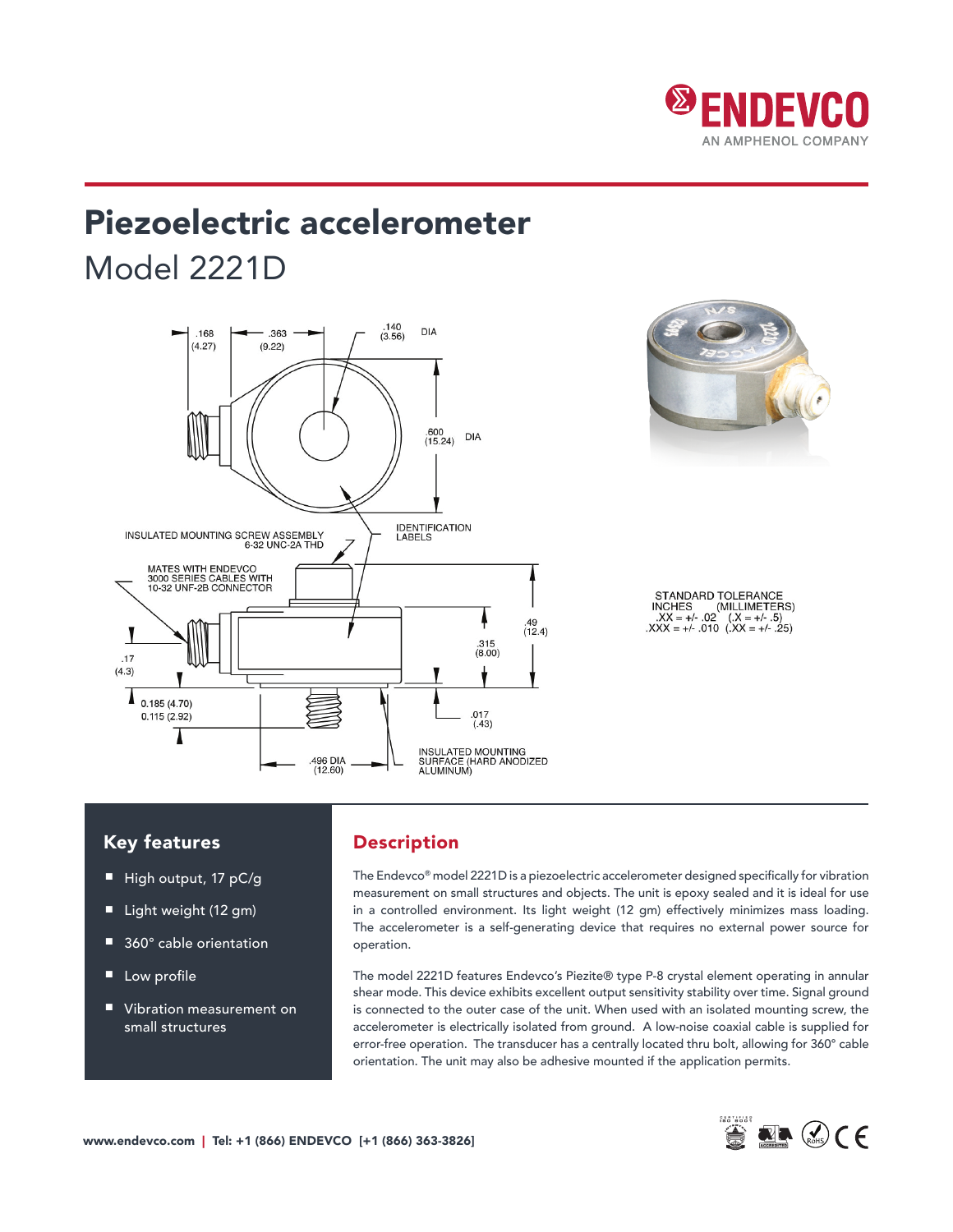

# Piezoelectric accelerometer Model 2221D



STANDARD TOLERANCE INCHES (MILLIMETERS)<br> $.XX = +/- .02$   $(.X = +/- .5)$ <br> $.XXX = +/- .010$   $(.XX = +/- .25)$ 

### Key features

- High output, 17 pC/g
- Light weight (12 gm)
- 360° cable orientation
- Low profile
- Vibration measurement on small structures

# Description

The Endevco® model 2221D is a piezoelectric accelerometer designed specifically for vibration measurement on small structures and objects. The unit is epoxy sealed and it is ideal for use in a controlled environment. Its light weight (12 gm) effectively minimizes mass loading. The accelerometer is a self-generating device that requires no external power source for operation.

The model 2221D features Endevco's Piezite® type P-8 crystal element operating in annular shear mode. This device exhibits excellent output sensitivity stability over time. Signal ground is connected to the outer case of the unit. When used with an isolated mounting screw, the accelerometer is electrically isolated from ground. A low-noise coaxial cable is supplied for error-free operation. The transducer has a centrally located thru bolt, allowing for 360° cable orientation. The unit may also be adhesive mounted if the application permits.

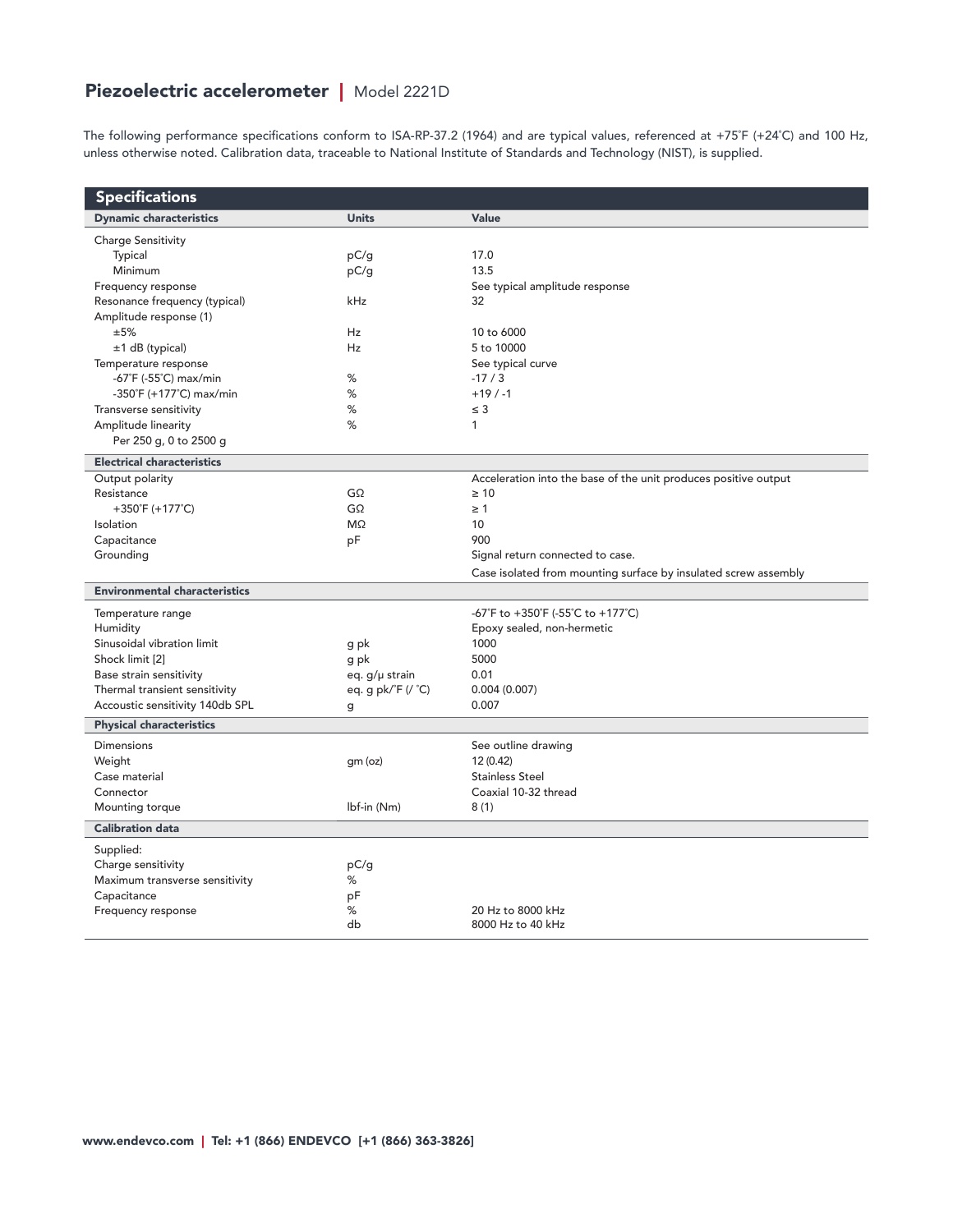# Piezoelectric accelerometer | Model 2221D

The following performance specifications conform to ISA-RP-37.2 (1964) and are typical values, referenced at +75˚F (+24˚C) and 100 Hz, unless otherwise noted. Calibration data, traceable to National Institute of Standards and Technology (NIST), is supplied.

| <b>Specifications</b>                |                    |                                                                 |  |  |
|--------------------------------------|--------------------|-----------------------------------------------------------------|--|--|
| <b>Dynamic characteristics</b>       | <b>Units</b>       | Value                                                           |  |  |
| <b>Charge Sensitivity</b>            |                    |                                                                 |  |  |
| Typical                              | pC/g               | 17.0                                                            |  |  |
| Minimum                              | pC/g               | 13.5                                                            |  |  |
| Frequency response                   |                    | See typical amplitude response                                  |  |  |
| Resonance frequency (typical)        | kHz                | 32                                                              |  |  |
| Amplitude response (1)               |                    |                                                                 |  |  |
| ±5%                                  | Hz                 | 10 to 6000                                                      |  |  |
| ±1 dB (typical)                      | Hz                 | 5 to 10000                                                      |  |  |
| Temperature response                 |                    | See typical curve                                               |  |  |
| -67°F (-55°C) max/min                | %                  | $-17/3$                                                         |  |  |
| -350°F (+177°C) max/min              | %                  | $+19/ -1$                                                       |  |  |
| Transverse sensitivity               | $\%$               | $\leq$ 3                                                        |  |  |
| Amplitude linearity                  | %                  | 1                                                               |  |  |
| Per 250 g, 0 to 2500 g               |                    |                                                                 |  |  |
| <b>Electrical characteristics</b>    |                    |                                                                 |  |  |
| Output polarity                      |                    | Acceleration into the base of the unit produces positive output |  |  |
| Resistance                           | GΩ                 | $\geq 10$                                                       |  |  |
| +350°F (+177°C)                      | $G\Omega$          | $\geq 1$                                                        |  |  |
| Isolation                            | $M\Omega$          | 10                                                              |  |  |
| Capacitance                          | pF                 | 900                                                             |  |  |
| Grounding                            |                    | Signal return connected to case.                                |  |  |
|                                      |                    | Case isolated from mounting surface by insulated screw assembly |  |  |
| <b>Environmental characteristics</b> |                    |                                                                 |  |  |
| Temperature range                    |                    | -67°F to +350°F (-55°C to +177°C)                               |  |  |
| Humidity                             |                    | Epoxy sealed, non-hermetic                                      |  |  |
| Sinusoidal vibration limit           | g pk               | 1000                                                            |  |  |
| Shock limit [2]                      | g pk               | 5000                                                            |  |  |
| Base strain sensitivity              | eq. g/µ strain     | 0.01                                                            |  |  |
| Thermal transient sensitivity        | eq. g pk/°F (/ °C) | 0.004(0.007)                                                    |  |  |
| Accoustic sensitivity 140db SPL      | g                  | 0.007                                                           |  |  |
| <b>Physical characteristics</b>      |                    |                                                                 |  |  |
| <b>Dimensions</b>                    |                    | See outline drawing                                             |  |  |
| Weight                               | qm (oz)            | 12 (0.42)                                                       |  |  |
| Case material                        |                    | <b>Stainless Steel</b>                                          |  |  |
| Connector                            |                    | Coaxial 10-32 thread                                            |  |  |
| Mounting torque                      | lbf-in (Nm)        | 8(1)                                                            |  |  |
| <b>Calibration data</b>              |                    |                                                                 |  |  |
| Supplied:                            |                    |                                                                 |  |  |
| Charge sensitivity                   | pC/g               |                                                                 |  |  |
| Maximum transverse sensitivity       | %                  |                                                                 |  |  |
| Capacitance                          | pF                 |                                                                 |  |  |
| Frequency response                   | $\%$               | 20 Hz to 8000 kHz                                               |  |  |
|                                      | db                 | 8000 Hz to 40 kHz                                               |  |  |